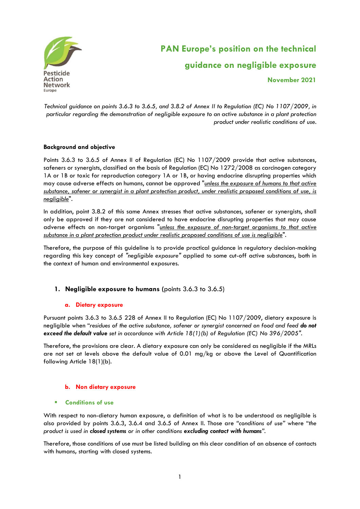

# **PAN Europe's position on the technical guidance on negligible exposure November 2021**

*Technical guidance on points 3.6.3 to 3.6.5, and 3.8.2 of Annex II to Regulation (EC) No 1107/2009, in particular regarding the demonstration of negligible exposure to an active substance in a plant protection product under realistic conditions of use.*

## **Background and objective**

Points 3.6.3 to 3.6.5 of Annex II of Regulation (EC) No 1107/2009 provide that active substances, safeners or synergists, classified on the basis of Regulation (EC) No 1272/2008 as carcinogen category 1A or 1B or toxic for reproduction category 1A or 1B, or having endocrine disrupting properties which may cause adverse effects on humans, cannot be approved "*unless the exposure of humans to that active substance, safener or synergist in a plant protection product, under realistic proposed conditions of use, is negligible*".

In addition, point 3.8.2 of this same Annex stresses that active substances, safener or synergists, shall only be approved if they are not considered to have endocrine disrupting properties that may cause adverse effects on non-target organisms "*unless the exposure of non-target organisms to that active substance in a plant protection product under realistic proposed conditions of use is negligible*".

Therefore, the purpose of this guideline is to provide practical guidance in regulatory decision-making regarding this key concept of *"negligible exposure"* applied to some cut-off active substances, both in the context of human and environmental exposures.

## **1. Negligible exposure to humans (**points 3.6.3 to 3.6.5)

#### **a. Dietary exposure**

Pursuant points 3.6.3 to 3.6.5 228 of Annex II to Regulation (EC) No 1107/2009, dietary exposure is negligible when "*residues of the active substance, safener or synergist concerned on food and feed do not exceed the default value set in accordance with Article 18(1)(b) of Regulation (EC) No 396/2005"*.

Therefore, the provisions are clear. A dietary exposure can only be considered as negligible if the MRLs are not set at levels above the default value of 0.01 mg/kg or above the Level of Quantification following Article 18(1)(b).

#### **b. Non dietary exposure**

#### ▪ **Conditions of use**

With respect to non-dietary human exposure, a definition of what is to be understood as negligible is also provided by points 3.6.3, 3.6.4 and 3.6.5 of Annex II. Those are *"conditions of use"* where "*the product is used in closed systems or in other conditions excluding contact with humans".*

Therefore, those conditions of use must be listed building on this clear condition of an absence of contacts with humans**,** starting with closed systems.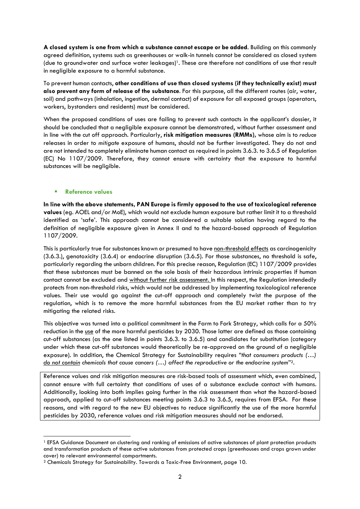**A closed system is one from which a substance cannot escape or be added**. Building on this commonly agreed definition, systems such as greenhouses or walk-in tunnels cannot be considered as closed system (due to groundwater and surface water leakages) <sup>1</sup>. These are therefore not conditions of use that result in negligible exposure to a harmful substance.

To prevent human contacts, **other conditions of use than closed systems (if they technically exist) must also prevent any form of release of the substance**. For this purpose, all the different routes (air, water, soil) and pathways (inhalation, ingestion, dermal contact) of exposure for all exposed groups (operators, workers, bystanders and residents) must be considered.

When the proposed conditions of uses are failing to prevent such contacts in the applicant's dossier, it should be concluded that a negligible exposure cannot be demonstrated, without further assessment and in line with the cut off approach. Particularly, **risk mitigation measures (RMMs),** whose aim is to *reduce* releases in order to *mitigate* exposure of humans, should not be further investigated. They do not and are not intended to completely eliminate human contact as required in points 3.6.3. to 3.6.5 of Regulation (EC) No 1107/2009. Therefore, they cannot ensure with certainty that the exposure to harmful substances will be negligible.

## ▪ **Reference values**

**In line with the above statements, PAN Europe is firmly opposed to the use of toxicological reference values** (eg. AOEL and/or MoE), which would not exclude human exposure but rather limit it to a threshold identified as 'safe'. This approach cannot be considered a suitable solution having regard to the definition of negligible exposure given in Annex II and to the hazard-based approach of Regulation 1107/2009.

This is particularly true for substances known or presumed to have non-threshold effects as carcinogenicity (3.6.3.), genotoxicity (3.6.4) or endocrine disruption (3.6.5). For those substances, no threshold is safe, particularly regarding the unborn children. For this precise reason, Regulation (EC) 1107/2009 provides that these substances must be banned on the sole basis of their hazardous intrinsic properties if human contact cannot be excluded and without further risk assessment. In this respect, the Regulation intendedly protects from non-threshold risks, which would not be addressed by implementing toxicological reference values. Their use would go against the cut-off approach and completely twist the purpose of the regulation, which is to remove the more harmful substances from the EU market rather than to try mitigating the related risks.

This objective was turned into a political commitment in the Farm to Fork Strategy, which calls for a 50% reduction in the use of the more harmful pesticides by 2030. Those latter are defined as those containing cut-off substances (as the one listed in points 3.6.3. to 3.6.5) and candidates for substitution (category under which these cut-off substances would theoretically be re-approved on the ground of a negligible exposure). In addition, the Chemical Strategy for Sustainability requires *"that consumers products (…) do not contain chemicals that cause cancers (…) affect the reproductive or the endocrine system*" 2.

Reference values and risk mitigation measures are risk-based tools of assessment which, even combined, cannot ensure with full certainty that conditions of uses of a substance exclude contact with humans. Additionally, looking into both implies going further in the risk assessment than what the hazard-based approach, applied to cut-off substances meeting points 3.6.3 to 3.6.5, requires from EFSA. For these reasons, and with regard to the new EU objectives to reduce significantly the use of the more harmful pesticides by 2030, reference values and risk mitigation measures should not be endorsed.

<sup>1</sup> EFSA Guidance Document on clustering and ranking of emissions of active substances of plant protection products and transformation products of these active substances from protected crops (greenhouses and crops grown under cover) to relevant environmental compartments.

<sup>2</sup> Chemicals Strategy for Sustainability. Towards a Toxic-Free Environment, page 10.